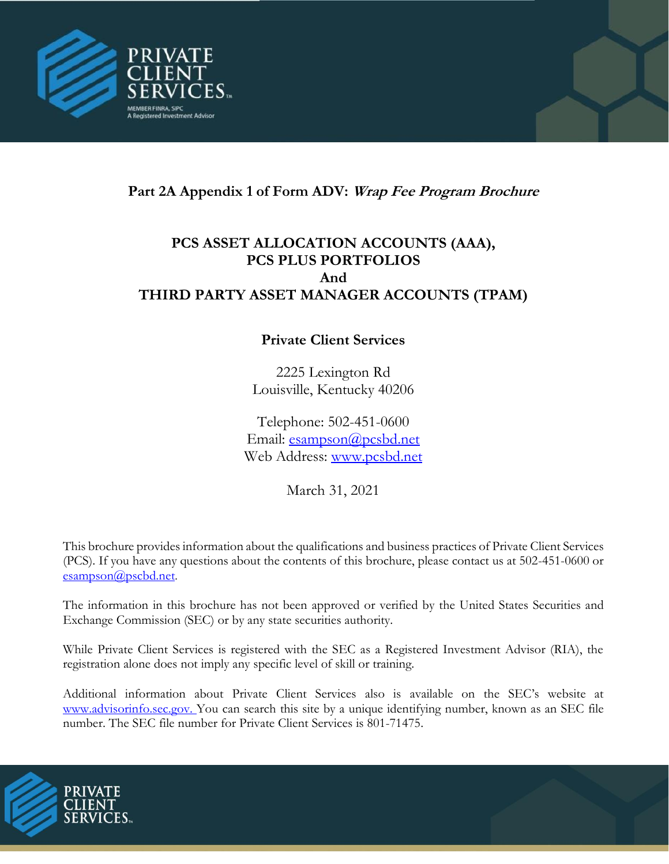

# **Part 2A Appendix 1 of Form ADV: Wrap Fee Program Brochure**

# **PCS ASSET ALLOCATION ACCOUNTS (AAA), PCS PLUS PORTFOLIOS And THIRD PARTY ASSET MANAGER ACCOUNTS (TPAM)**

# **Private Client Services**

2225 Lexington Rd Louisville, Kentucky 40206

Telephone: 502-451-0600 Email: [esampson@pcsbd.net](mailto:esampson@pcsbd.net) Web Ad[dress:](http://www.pcsbd.net/) [www.pcsbd.net](file:///C:/Users/cmccurdy/Documents/Compliance/Form%20ADV/www.pcsbd.net)

March 31, 2021

This brochure provides information about the qualifications and business practices of Private Client Services (PCS). If you have any questions about the contents of this brochure, please contact us at 502-451-0600 or [esampson@pscbd.net](mailto:esampson@pscbd.net).

The information in this brochure has not been approved or verified by the United States Securities and Exchange Commission (SEC) or by any state securities authority.

While Private Client Services is registered with the SEC as a Registered Investment Advisor (RIA), the registration alone does not imply any specific level of skill or training.

Additional information about Private Client Services also is available on the SEC's website at www.advisorinfo.sec.gov. You can search this site by a unique identifying number, known as an SEC file number. The SEC file number for Private Client Services is 801-71475.

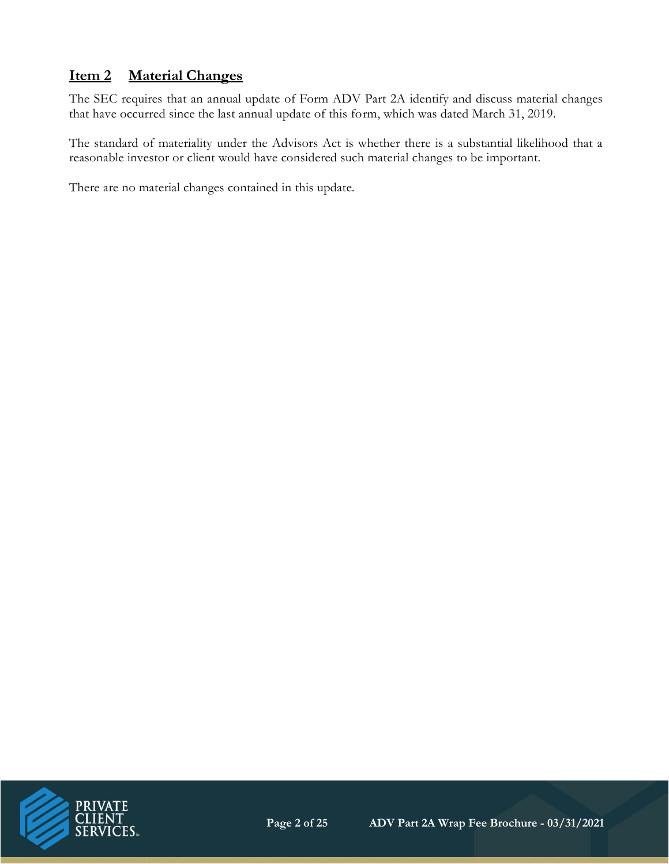# **Item 2 Material Changes**

The SEC requires that an annual update of Form ADV Part 2A identify and discuss material changes that have occurred since the last annual update of this form, which was dated March 31, 2019.

The standard of materiality under the Advisors Act is whether there is a substantial likelihood that a reasonable investor or client would have considered such material changes to be important.

There are no material changes contained in this update.

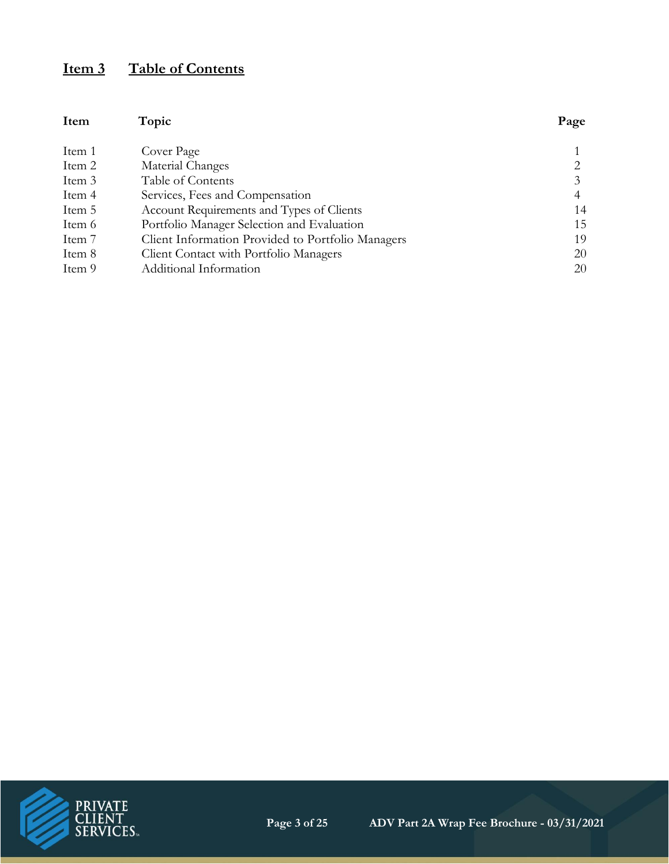# **Item 3 Table of Contents**

| Item   | Topic                                             | Page           |
|--------|---------------------------------------------------|----------------|
| Item 1 | Cover Page                                        |                |
| Item 2 | Material Changes                                  | 2              |
| Item 3 | Table of Contents                                 | 3              |
| Item 4 | Services, Fees and Compensation                   | $\overline{4}$ |
| Item 5 | Account Requirements and Types of Clients         | 14             |
| Item 6 | Portfolio Manager Selection and Evaluation        | 15             |
| Item 7 | Client Information Provided to Portfolio Managers | 19             |
| Item 8 | Client Contact with Portfolio Managers            | 20             |
| Item 9 | Additional Information                            | 20             |

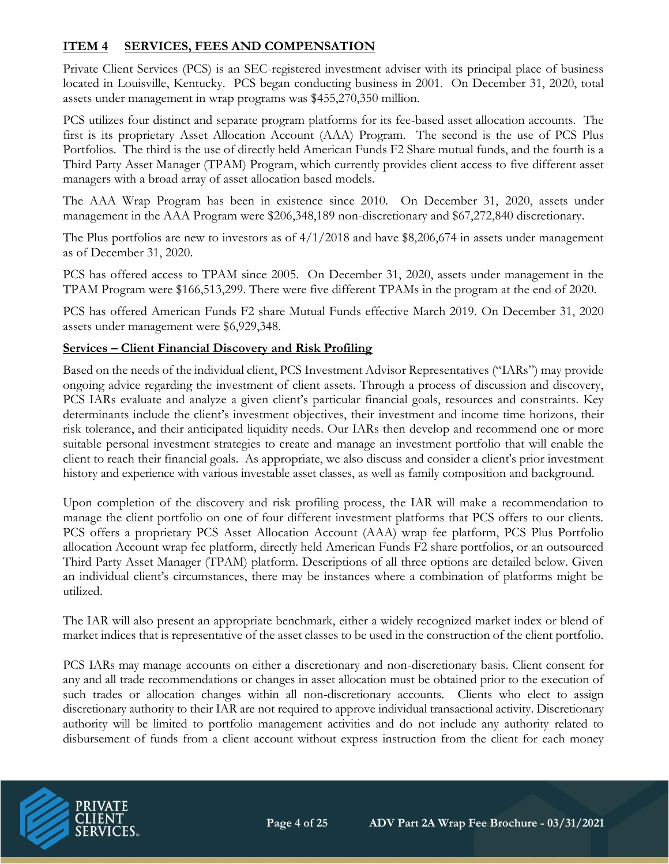# **ITEM 4 SERVICES, FEES AND COMPENSATION**

Private Client Services (PCS) is an SEC-registered investment adviser with its principal place of business located in Louisville, Kentucky. PCS began conducting business in 2001. On December 31, 2020, total assets under management in wrap programs was \$455,270,350 million.

PCS utilizes four distinct and separate program platforms for its fee-based asset allocation accounts. The first is its proprietary Asset Allocation Account (AAA) Program. The second is the use of PCS Plus Portfolios. The third is the use of directly held American Funds F2 Share mutual funds, and the fourth is a Third Party Asset Manager (TPAM) Program, which currently provides client access to five different asset managers with a broad array of asset allocation based models.

The AAA Wrap Program has been in existence since 2010. On December 31, 2020, assets under management in the AAA Program were \$206,348,189 non-discretionary and \$67,272,840 discretionary.

The Plus portfolios are new to investors as of 4/1/2018 and have \$8,206,674 in assets under management as of December 31, 2020.

PCS has offered access to TPAM since 2005. On December 31, 2020, assets under management in the TPAM Program were \$166,513,299. There were five different TPAMs in the program at the end of 2020.

PCS has offered American Funds F2 share Mutual Funds effective March 2019. On December 31, 2020 assets under management were \$6,929,348.

#### **Services – Client Financial Discovery and Risk Profiling**

Based on the needs of the individual client, PCS Investment Advisor Representatives ("IARs") may provide ongoing advice regarding the investment of client assets. Through a process of discussion and discovery, PCS IARs evaluate and analyze a given client's particular financial goals, resources and constraints. Key determinants include the client's investment objectives, their investment and income time horizons, their risk tolerance, and their anticipated liquidity needs. Our IARs then develop and recommend one or more suitable personal investment strategies to create and manage an investment portfolio that will enable the client to reach their financial goals. As appropriate, we also discuss and consider a client's prior investment history and experience with various investable asset classes, as well as family composition and background.

Upon completion of the discovery and risk profiling process, the IAR will make a recommendation to manage the client portfolio on one of four different investment platforms that PCS offers to our clients. PCS offers a proprietary PCS Asset Allocation Account (AAA) wrap fee platform, PCS Plus Portfolio allocation Account wrap fee platform, directly held American Funds F2 share portfolios, or an outsourced Third Party Asset Manager (TPAM) platform. Descriptions of all three options are detailed below. Given an individual client's circumstances, there may be instances where a combination of platforms might be utilized.

The IAR will also present an appropriate benchmark, either a widely recognized market index or blend of market indices that is representative of the asset classes to be used in the construction of the client portfolio.

PCS IARs may manage accounts on either a discretionary and non-discretionary basis. Client consent for any and all trade recommendations or changes in asset allocation must be obtained prior to the execution of such trades or allocation changes within all non-discretionary accounts. Clients who elect to assign discretionary authority to their IAR are not required to approve individual transactional activity. Discretionary authority will be limited to portfolio management activities and do not include any authority related to disbursement of funds from a client account without express instruction from the client for each money

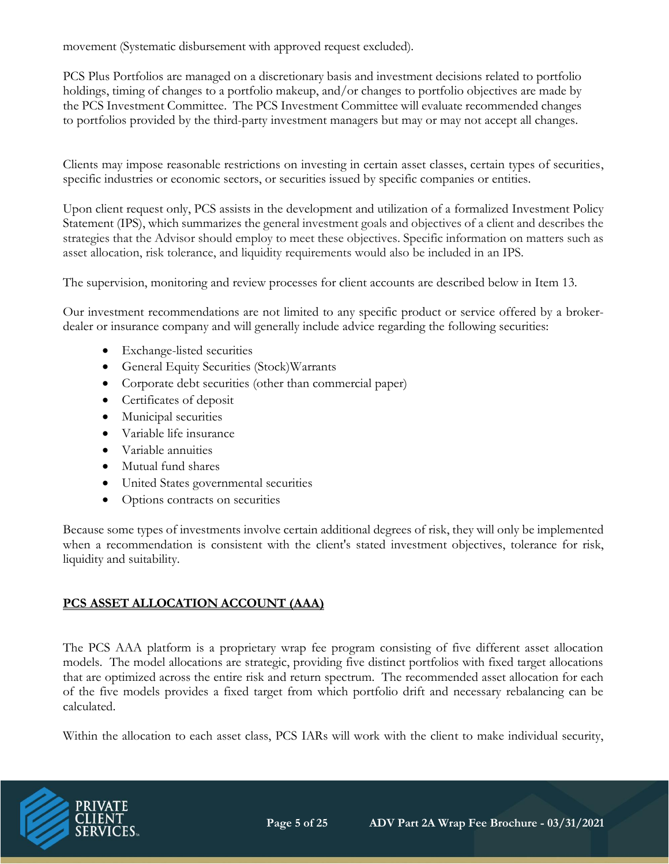movement (Systematic disbursement with approved request excluded).

PCS Plus Portfolios are managed on a discretionary basis and investment decisions related to portfolio holdings, timing of changes to a portfolio makeup, and/or changes to portfolio objectives are made by the PCS Investment Committee. The PCS Investment Committee will evaluate recommended changes to portfolios provided by the third-party investment managers but may or may not accept all changes.

Clients may impose reasonable restrictions on investing in certain asset classes, certain types of securities, specific industries or economic sectors, or securities issued by specific companies or entities.

Upon client request only, PCS assists in the development and utilization of a formalized Investment Policy Statement (IPS), which summarizes the general investment goals and objectives of a client and describes the strategies that the Advisor should employ to meet these objectives. Specific information on matters such as asset allocation, risk tolerance, and liquidity requirements would also be included in an IPS.

The supervision, monitoring and review processes for client accounts are described below in Item 13.

Our investment recommendations are not limited to any specific product or service offered by a brokerdealer or insurance company and will generally include advice regarding the following securities:

- Exchange-listed securities
- General Equity Securities (Stock)Warrants
- Corporate debt securities (other than commercial paper)
- Certificates of deposit
- Municipal securities
- Variable life insurance
- Variable annuities
- Mutual fund shares
- United States governmental securities
- Options contracts on securities

Because some types of investments involve certain additional degrees of risk, they will only be implemented when a recommendation is consistent with the client's stated investment objectives, tolerance for risk, liquidity and suitability.

# **PCS ASSET ALLOCATION ACCOUNT (AAA)**

The PCS AAA platform is a proprietary wrap fee program consisting of five different asset allocation models. The model allocations are strategic, providing five distinct portfolios with fixed target allocations that are optimized across the entire risk and return spectrum. The recommended asset allocation for each of the five models provides a fixed target from which portfolio drift and necessary rebalancing can be calculated.

Within the allocation to each asset class, PCS IARs will work with the client to make individual security,

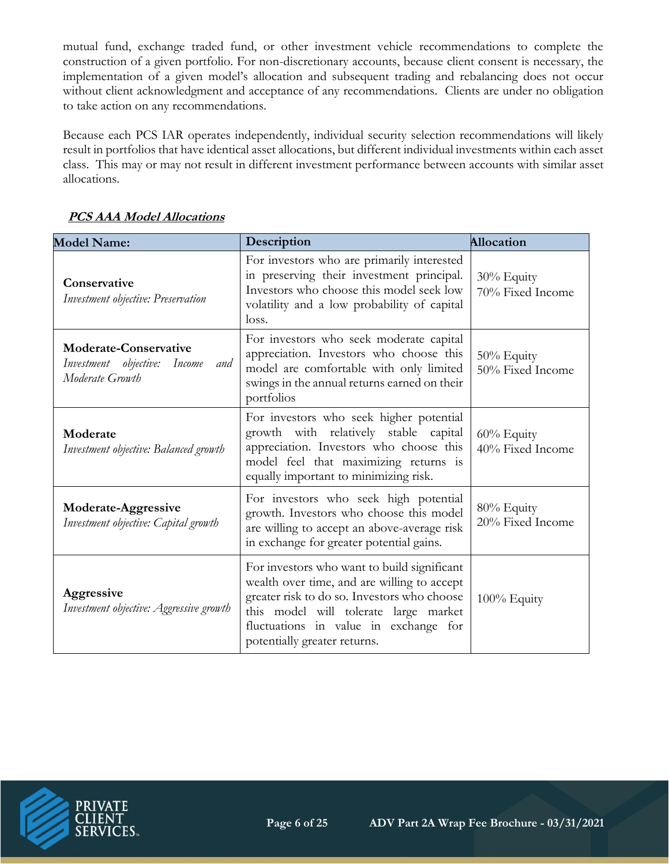mutual fund, exchange traded fund, or other investment vehicle recommendations to complete the construction of a given portfolio. For non-discretionary accounts, because client consent is necessary, the implementation of a given model's allocation and subsequent trading and rebalancing does not occur without client acknowledgment and acceptance of any recommendations. Clients are under no obligation to take action on any recommendations.

Because each PCS IAR operates independently, individual security selection recommendations will likely result in portfolios that have identical asset allocations, but different individual investments within each asset class. This may or may not result in different investment performance between accounts with similar asset allocations.

| <b>Model Name:</b>                                                                        | Description                                                                                                                                                                                                                                                 | <b>Allocation</b>              |
|-------------------------------------------------------------------------------------------|-------------------------------------------------------------------------------------------------------------------------------------------------------------------------------------------------------------------------------------------------------------|--------------------------------|
| Conservative<br>Investment objective: Preservation                                        | For investors who are primarily interested<br>in preserving their investment principal.<br>Investors who choose this model seek low<br>volatility and a low probability of capital<br>loss.                                                                 | 30% Equity<br>70% Fixed Income |
| <b>Moderate-Conservative</b><br>Investment objective:<br>Income<br>and<br>Moderate Growth | For investors who seek moderate capital<br>appreciation. Investors who choose this<br>model are comfortable with only limited<br>swings in the annual returns earned on their<br>portfolios                                                                 | 50% Equity<br>50% Fixed Income |
| Moderate<br>Investment objective: Balanced growth                                         | For investors who seek higher potential<br>growth with relatively stable capital<br>appreciation. Investors who choose this<br>model feel that maximizing returns is<br>equally important to minimizing risk.                                               | 60% Equity<br>40% Fixed Income |
| Moderate-Aggressive<br>Investment objective: Capital growth                               | For investors who seek high potential<br>growth. Investors who choose this model<br>are willing to accept an above-average risk<br>in exchange for greater potential gains.                                                                                 | 80% Equity<br>20% Fixed Income |
| Aggressive<br>Investment objective: Aggressive growth                                     | For investors who want to build significant<br>wealth over time, and are willing to accept<br>greater risk to do so. Investors who choose<br>this model will tolerate large market<br>fluctuations in value in exchange for<br>potentially greater returns. | 100% Equity                    |

# **PCS AAA Model Allocations**

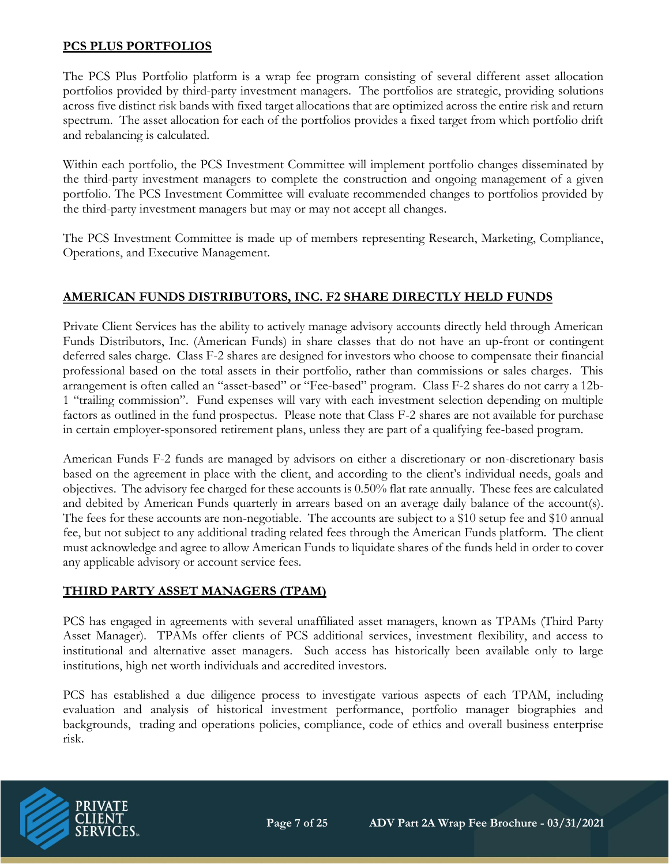#### **PCS PLUS PORTFOLIOS**

The PCS Plus Portfolio platform is a wrap fee program consisting of several different asset allocation portfolios provided by third-party investment managers. The portfolios are strategic, providing solutions across five distinct risk bands with fixed target allocations that are optimized across the entire risk and return spectrum. The asset allocation for each of the portfolios provides a fixed target from which portfolio drift and rebalancing is calculated.

Within each portfolio, the PCS Investment Committee will implement portfolio changes disseminated by the third-party investment managers to complete the construction and ongoing management of a given portfolio. The PCS Investment Committee will evaluate recommended changes to portfolios provided by the third-party investment managers but may or may not accept all changes.

The PCS Investment Committee is made up of members representing Research, Marketing, Compliance, Operations, and Executive Management.

#### **AMERICAN FUNDS DISTRIBUTORS, INC. F2 SHARE DIRECTLY HELD FUNDS**

Private Client Services has the ability to actively manage advisory accounts directly held through American Funds Distributors, Inc. (American Funds) in share classes that do not have an up-front or contingent deferred sales charge. Class F-2 shares are designed for investors who choose to compensate their financial professional based on the total assets in their portfolio, rather than commissions or sales charges. This arrangement is often called an "asset-based" or "Fee-based" program. Class F-2 shares do not carry a 12b-1 "trailing commission". Fund expenses will vary with each investment selection depending on multiple factors as outlined in the fund prospectus. Please note that Class F-2 shares are not available for purchase in certain employer-sponsored retirement plans, unless they are part of a qualifying fee-based program.

American Funds F-2 funds are managed by advisors on either a discretionary or non-discretionary basis based on the agreement in place with the client, and according to the client's individual needs, goals and objectives. The advisory fee charged for these accounts is 0.50% flat rate annually. These fees are calculated and debited by American Funds quarterly in arrears based on an average daily balance of the account(s). The fees for these accounts are non-negotiable. The accounts are subject to a \$10 setup fee and \$10 annual fee, but not subject to any additional trading related fees through the American Funds platform. The client must acknowledge and agree to allow American Funds to liquidate shares of the funds held in order to cover any applicable advisory or account service fees.

#### **THIRD PARTY ASSET MANAGERS (TPAM)**

PCS has engaged in agreements with several unaffiliated asset managers, known as TPAMs (Third Party Asset Manager). TPAMs offer clients of PCS additional services, investment flexibility, and access to institutional and alternative asset managers. Such access has historically been available only to large institutions, high net worth individuals and accredited investors.

PCS has established a due diligence process to investigate various aspects of each TPAM, including evaluation and analysis of historical investment performance, portfolio manager biographies and backgrounds, trading and operations policies, compliance, code of ethics and overall business enterprise risk.

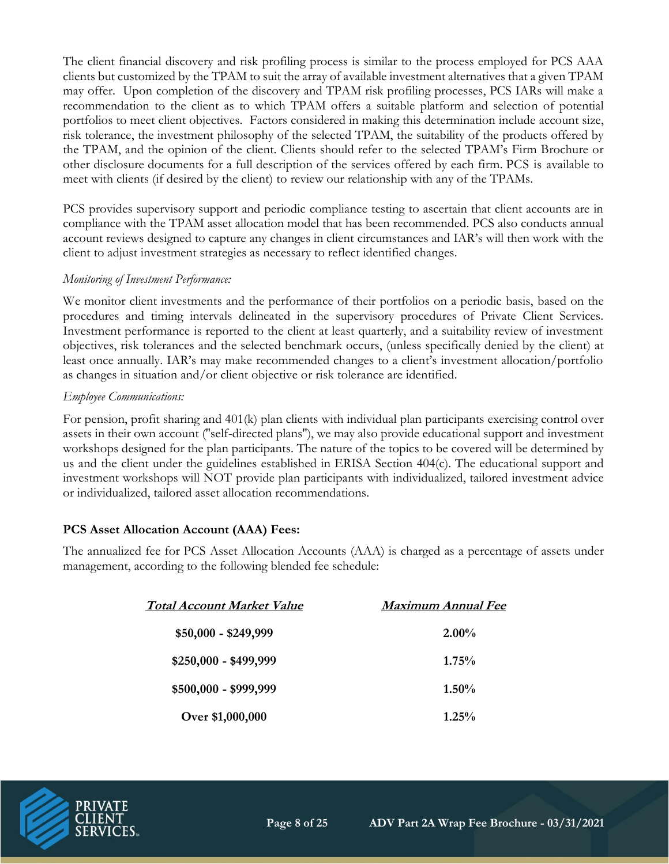The client financial discovery and risk profiling process is similar to the process employed for PCS AAA clients but customized by the TPAM to suit the array of available investment alternatives that a given TPAM may offer. Upon completion of the discovery and TPAM risk profiling processes, PCS IARs will make a recommendation to the client as to which TPAM offers a suitable platform and selection of potential portfolios to meet client objectives. Factors considered in making this determination include account size, risk tolerance, the investment philosophy of the selected TPAM, the suitability of the products offered by the TPAM, and the opinion of the client. Clients should refer to the selected TPAM's Firm Brochure or other disclosure documents for a full description of the services offered by each firm. PCS is available to meet with clients (if desired by the client) to review our relationship with any of the TPAMs.

PCS provides supervisory support and periodic compliance testing to ascertain that client accounts are in compliance with the TPAM asset allocation model that has been recommended. PCS also conducts annual account reviews designed to capture any changes in client circumstances and IAR's will then work with the client to adjust investment strategies as necessary to reflect identified changes.

#### *Monitoring of Investment Performance:*

We monitor client investments and the performance of their portfolios on a periodic basis, based on the procedures and timing intervals delineated in the supervisory procedures of Private Client Services. Investment performance is reported to the client at least quarterly, and a suitability review of investment objectives, risk tolerances and the selected benchmark occurs, (unless specifically denied by the client) at least once annually. IAR's may make recommended changes to a client's investment allocation/portfolio as changes in situation and/or client objective or risk tolerance are identified.

#### *Employee Communications:*

For pension, profit sharing and 401(k) plan clients with individual plan participants exercising control over assets in their own account (''self-directed plans''), we may also provide educational support and investment workshops designed for the plan participants. The nature of the topics to be covered will be determined by us and the client under the guidelines established in ERISA Section 404(c). The educational support and investment workshops will NOT provide plan participants with individualized, tailored investment advice or individualized, tailored asset allocation recommendations.

#### **PCS Asset Allocation Account (AAA) Fees:**

The annualized fee for PCS Asset Allocation Accounts (AAA) is charged as a percentage of assets under management, according to the following blended fee schedule:

| <b>Total Account Market Value</b> | <b>Maximum Annual Fee</b> |  |
|-----------------------------------|---------------------------|--|
| $$50,000 - $249,999$              | $2.00\%$                  |  |
| $$250,000 - $499,999$             | 1.75%                     |  |
| $$500,000 - $999,999$             | $1.50\%$                  |  |
| Over \$1,000,000                  | $1.25\%$                  |  |

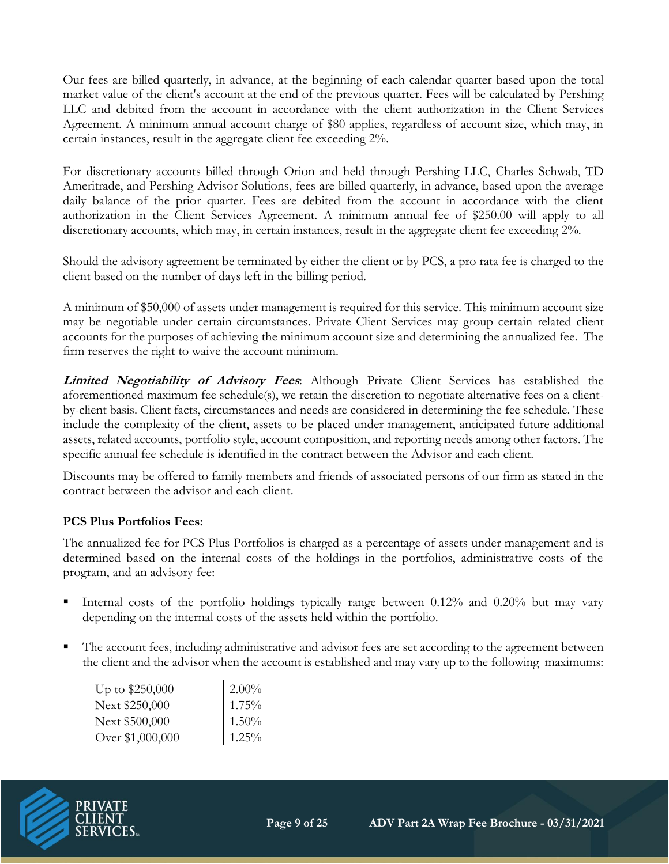Our fees are billed quarterly, in advance, at the beginning of each calendar quarter based upon the total market value of the client's account at the end of the previous quarter. Fees will be calculated by Pershing LLC and debited from the account in accordance with the client authorization in the Client Services Agreement. A minimum annual account charge of \$80 applies, regardless of account size, which may, in certain instances, result in the aggregate client fee exceeding 2%.

For discretionary accounts billed through Orion and held through Pershing LLC, Charles Schwab, TD Ameritrade, and Pershing Advisor Solutions, fees are billed quarterly, in advance, based upon the average daily balance of the prior quarter. Fees are debited from the account in accordance with the client authorization in the Client Services Agreement. A minimum annual fee of \$250.00 will apply to all discretionary accounts, which may, in certain instances, result in the aggregate client fee exceeding 2%.

Should the advisory agreement be terminated by either the client or by PCS, a pro rata fee is charged to the client based on the number of days left in the billing period.

A minimum of \$50,000 of assets under management is required for this service. This minimum account size may be negotiable under certain circumstances. Private Client Services may group certain related client accounts for the purposes of achieving the minimum account size and determining the annualized fee. The firm reserves the right to waive the account minimum.

**Limited Negotiability of Advisory Fees**: Although Private Client Services has established the aforementioned maximum fee schedule(s), we retain the discretion to negotiate alternative fees on a clientby-client basis. Client facts, circumstances and needs are considered in determining the fee schedule. These include the complexity of the client, assets to be placed under management, anticipated future additional assets, related accounts, portfolio style, account composition, and reporting needs among other factors. The specific annual fee schedule is identified in the contract between the Advisor and each client.

Discounts may be offered to family members and friends of associated persons of our firm as stated in the contract between the advisor and each client.

#### **PCS Plus Portfolios Fees:**

The annualized fee for PCS Plus Portfolios is charged as a percentage of assets under management and is determined based on the internal costs of the holdings in the portfolios, administrative costs of the program, and an advisory fee:

- Internal costs of the portfolio holdings typically range between  $0.12\%$  and  $0.20\%$  but may vary depending on the internal costs of the assets held within the portfolio.
- The account fees, including administrative and advisor fees are set according to the agreement between the client and the advisor when the account is established and may vary up to the following maximums:

| Up to $$250,000$ | $2.00\%$ |
|------------------|----------|
| Next \$250,000   | $1.75\%$ |
| Next \$500,000   | $1.50\%$ |
| Over \$1,000,000 | $1.25\%$ |

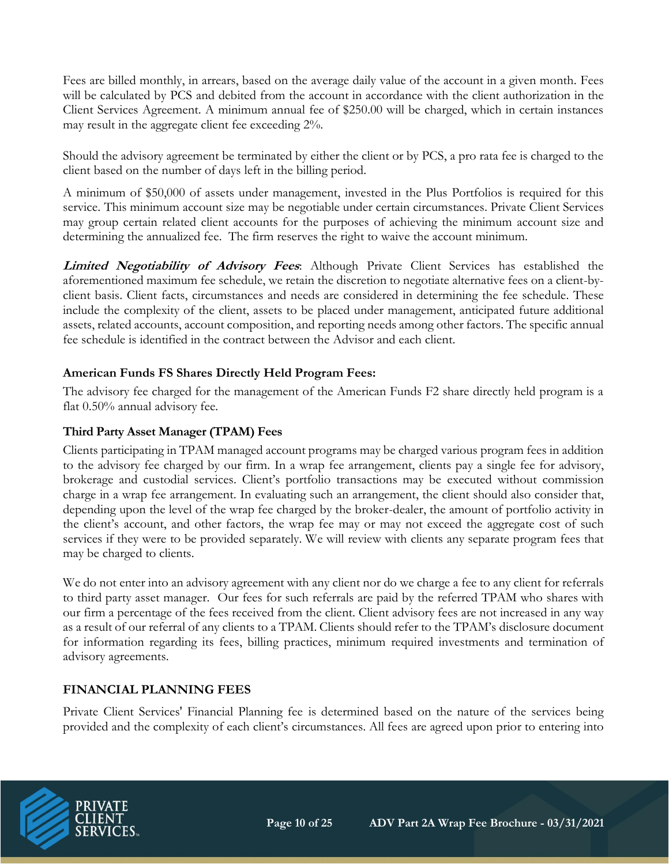Fees are billed monthly, in arrears, based on the average daily value of the account in a given month. Fees will be calculated by PCS and debited from the account in accordance with the client authorization in the Client Services Agreement. A minimum annual fee of \$250.00 will be charged, which in certain instances may result in the aggregate client fee exceeding 2%.

Should the advisory agreement be terminated by either the client or by PCS, a pro rata fee is charged to the client based on the number of days left in the billing period.

A minimum of \$50,000 of assets under management, invested in the Plus Portfolios is required for this service. This minimum account size may be negotiable under certain circumstances. Private Client Services may group certain related client accounts for the purposes of achieving the minimum account size and determining the annualized fee. The firm reserves the right to waive the account minimum.

**Limited Negotiability of Advisory Fees**: Although Private Client Services has established the aforementioned maximum fee schedule, we retain the discretion to negotiate alternative fees on a client-byclient basis. Client facts, circumstances and needs are considered in determining the fee schedule. These include the complexity of the client, assets to be placed under management, anticipated future additional assets, related accounts, account composition, and reporting needs among other factors. The specific annual fee schedule is identified in the contract between the Advisor and each client.

# **American Funds FS Shares Directly Held Program Fees:**

The advisory fee charged for the management of the American Funds F2 share directly held program is a flat 0.50% annual advisory fee.

# **Third Party Asset Manager (TPAM) Fees**

Clients participating in TPAM managed account programs may be charged various program fees in addition to the advisory fee charged by our firm. In a wrap fee arrangement, clients pay a single fee for advisory, brokerage and custodial services. Client's portfolio transactions may be executed without commission charge in a wrap fee arrangement. In evaluating such an arrangement, the client should also consider that, depending upon the level of the wrap fee charged by the broker-dealer, the amount of portfolio activity in the client's account, and other factors, the wrap fee may or may not exceed the aggregate cost of such services if they were to be provided separately. We will review with clients any separate program fees that may be charged to clients.

We do not enter into an advisory agreement with any client nor do we charge a fee to any client for referrals to third party asset manager. Our fees for such referrals are paid by the referred TPAM who shares with our firm a percentage of the fees received from the client. Client advisory fees are not increased in any way as a result of our referral of any clients to a TPAM. Clients should refer to the TPAM's disclosure document for information regarding its fees, billing practices, minimum required investments and termination of advisory agreements.

#### **FINANCIAL PLANNING FEES**

Private Client Services' Financial Planning fee is determined based on the nature of the services being provided and the complexity of each client's circumstances. All fees are agreed upon prior to entering into

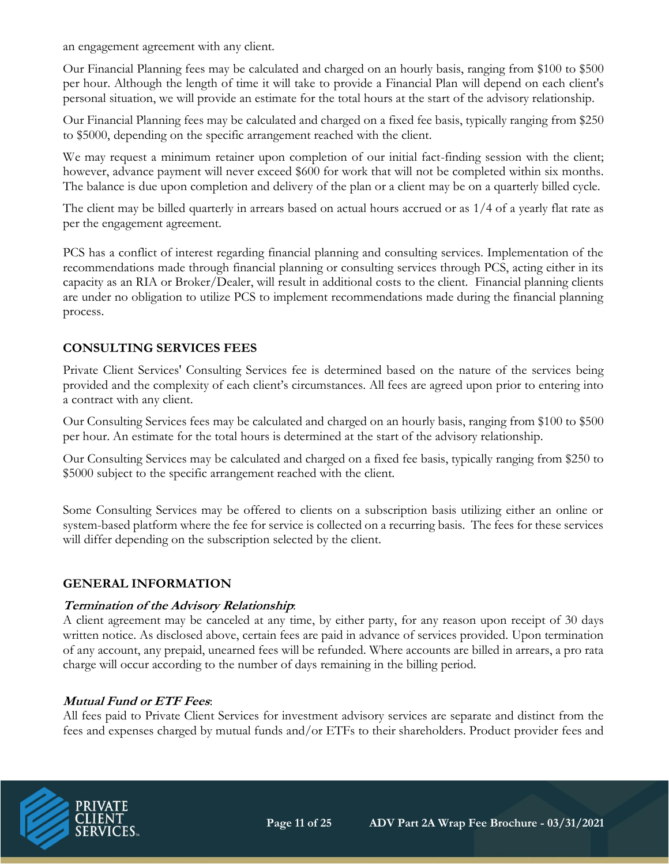an engagement agreement with any client.

Our Financial Planning fees may be calculated and charged on an hourly basis, ranging from \$100 to \$500 per hour. Although the length of time it will take to provide a Financial Plan will depend on each client's personal situation, we will provide an estimate for the total hours at the start of the advisory relationship.

Our Financial Planning fees may be calculated and charged on a fixed fee basis, typically ranging from \$250 to \$5000, depending on the specific arrangement reached with the client.

We may request a minimum retainer upon completion of our initial fact-finding session with the client; however, advance payment will never exceed \$600 for work that will not be completed within six months. The balance is due upon completion and delivery of the plan or a client may be on a quarterly billed cycle.

The client may be billed quarterly in arrears based on actual hours accrued or as 1/4 of a yearly flat rate as per the engagement agreement.

PCS has a conflict of interest regarding financial planning and consulting services. Implementation of the recommendations made through financial planning or consulting services through PCS, acting either in its capacity as an RIA or Broker/Dealer, will result in additional costs to the client. Financial planning clients are under no obligation to utilize PCS to implement recommendations made during the financial planning process.

# **CONSULTING SERVICES FEES**

Private Client Services' Consulting Services fee is determined based on the nature of the services being provided and the complexity of each client's circumstances. All fees are agreed upon prior to entering into a contract with any client.

Our Consulting Services fees may be calculated and charged on an hourly basis, ranging from \$100 to \$500 per hour. An estimate for the total hours is determined at the start of the advisory relationship.

Our Consulting Services may be calculated and charged on a fixed fee basis, typically ranging from \$250 to \$5000 subject to the specific arrangement reached with the client.

Some Consulting Services may be offered to clients on a subscription basis utilizing either an online or system-based platform where the fee for service is collected on a recurring basis. The fees for these services will differ depending on the subscription selected by the client.

#### **GENERAL INFORMATION**

#### **Termination of the Advisory Relationship**:

A client agreement may be canceled at any time, by either party, for any reason upon receipt of 30 days written notice. As disclosed above, certain fees are paid in advance of services provided. Upon termination of any account, any prepaid, unearned fees will be refunded. Where accounts are billed in arrears, a pro rata charge will occur according to the number of days remaining in the billing period.

#### **Mutual Fund or ETF Fees**:

All fees paid to Private Client Services for investment advisory services are separate and distinct from the fees and expenses charged by mutual funds and/or ETFs to their shareholders. Product provider fees and

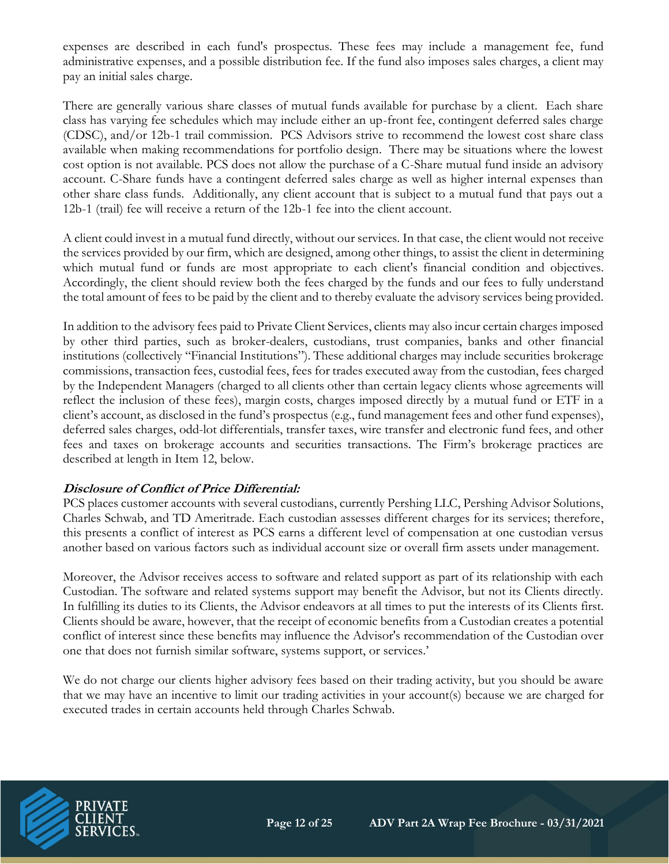expenses are described in each fund's prospectus. These fees may include a management fee, fund administrative expenses, and a possible distribution fee. If the fund also imposes sales charges, a client may pay an initial sales charge.

There are generally various share classes of mutual funds available for purchase by a client. Each share class has varying fee schedules which may include either an up-front fee, contingent deferred sales charge (CDSC), and/or 12b-1 trail commission. PCS Advisors strive to recommend the lowest cost share class available when making recommendations for portfolio design. There may be situations where the lowest cost option is not available. PCS does not allow the purchase of a C-Share mutual fund inside an advisory account. C-Share funds have a contingent deferred sales charge as well as higher internal expenses than other share class funds. Additionally, any client account that is subject to a mutual fund that pays out a 12b-1 (trail) fee will receive a return of the 12b-1 fee into the client account.

A client could invest in a mutual fund directly, without our services. In that case, the client would not receive the services provided by our firm, which are designed, among other things, to assist the client in determining which mutual fund or funds are most appropriate to each client's financial condition and objectives. Accordingly, the client should review both the fees charged by the funds and our fees to fully understand the total amount of fees to be paid by the client and to thereby evaluate the advisory services being provided.

In addition to the advisory fees paid to Private Client Services, clients may also incur certain charges imposed by other third parties, such as broker-dealers, custodians, trust companies, banks and other financial institutions (collectively "Financial Institutions"). These additional charges may include securities brokerage commissions, transaction fees, custodial fees, fees for trades executed away from the custodian, fees charged by the Independent Managers (charged to all clients other than certain legacy clients whose agreements will reflect the inclusion of these fees), margin costs, charges imposed directly by a mutual fund or ETF in a client's account, as disclosed in the fund's prospectus (e.g., fund management fees and other fund expenses), deferred sales charges, odd-lot differentials, transfer taxes, wire transfer and electronic fund fees, and other fees and taxes on brokerage accounts and securities transactions. The Firm's brokerage practices are described at length in Item 12, below.

#### **Disclosure of Conflict of Price Differential:**

PCS places customer accounts with several custodians, currently Pershing LLC, Pershing Advisor Solutions, Charles Schwab, and TD Ameritrade. Each custodian assesses different charges for its services; therefore, this presents a conflict of interest as PCS earns a different level of compensation at one custodian versus another based on various factors such as individual account size or overall firm assets under management.

Moreover, the Advisor receives access to software and related support as part of its relationship with each Custodian. The software and related systems support may benefit the Advisor, but not its Clients directly. In fulfilling its duties to its Clients, the Advisor endeavors at all times to put the interests of its Clients first. Clients should be aware, however, that the receipt of economic benefits from a Custodian creates a potential conflict of interest since these benefits may influence the Advisor's recommendation of the Custodian over one that does not furnish similar software, systems support, or services.'

We do not charge our clients higher advisory fees based on their trading activity, but you should be aware that we may have an incentive to limit our trading activities in your account(s) because we are charged for executed trades in certain accounts held through Charles Schwab.

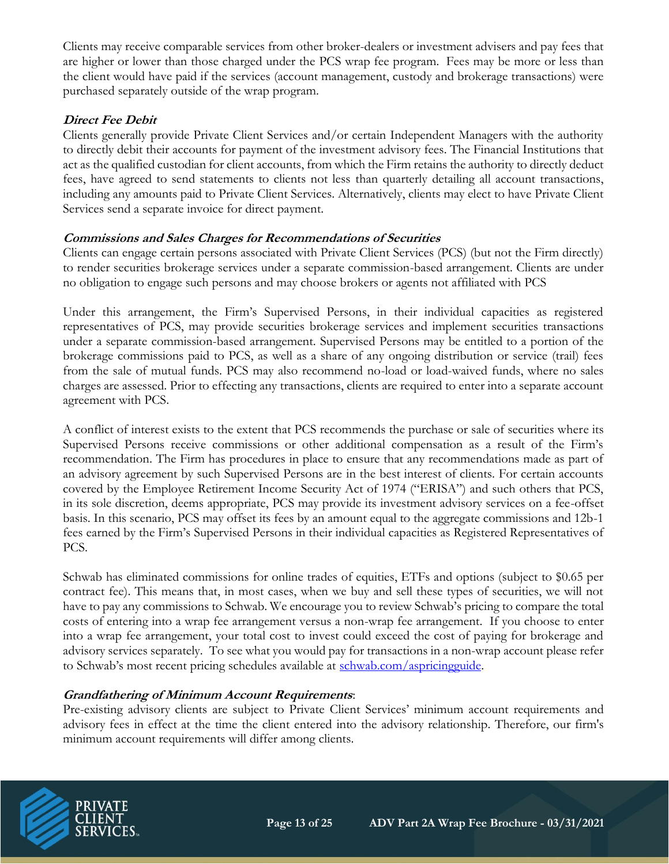Clients may receive comparable services from other broker-dealers or investment advisers and pay fees that are higher or lower than those charged under the PCS wrap fee program. Fees may be more or less than the client would have paid if the services (account management, custody and brokerage transactions) were purchased separately outside of the wrap program.

# **Direct Fee Debit**

Clients generally provide Private Client Services and/or certain Independent Managers with the authority to directly debit their accounts for payment of the investment advisory fees. The Financial Institutions that act as the qualified custodian for client accounts, from which the Firm retains the authority to directly deduct fees, have agreed to send statements to clients not less than quarterly detailing all account transactions, including any amounts paid to Private Client Services. Alternatively, clients may elect to have Private Client Services send a separate invoice for direct payment.

#### **Commissions and Sales Charges for Recommendations of Securities**

Clients can engage certain persons associated with Private Client Services (PCS) (but not the Firm directly) to render securities brokerage services under a separate commission-based arrangement. Clients are under no obligation to engage such persons and may choose brokers or agents not affiliated with PCS

Under this arrangement, the Firm's Supervised Persons, in their individual capacities as registered representatives of PCS, may provide securities brokerage services and implement securities transactions under a separate commission-based arrangement. Supervised Persons may be entitled to a portion of the brokerage commissions paid to PCS, as well as a share of any ongoing distribution or service (trail) fees from the sale of mutual funds. PCS may also recommend no-load or load-waived funds, where no sales charges are assessed. Prior to effecting any transactions, clients are required to enter into a separate account agreement with PCS.

A conflict of interest exists to the extent that PCS recommends the purchase or sale of securities where its Supervised Persons receive commissions or other additional compensation as a result of the Firm's recommendation. The Firm has procedures in place to ensure that any recommendations made as part of an advisory agreement by such Supervised Persons are in the best interest of clients. For certain accounts covered by the Employee Retirement Income Security Act of 1974 ("ERISA") and such others that PCS, in its sole discretion, deems appropriate, PCS may provide its investment advisory services on a fee-offset basis. In this scenario, PCS may offset its fees by an amount equal to the aggregate commissions and 12b-1 fees earned by the Firm's Supervised Persons in their individual capacities as Registered Representatives of PCS.

Schwab has eliminated commissions for online trades of equities, ETFs and options (subject to \$0.65 per contract fee). This means that, in most cases, when we buy and sell these types of securities, we will not have to pay any commissions to Schwab. We encourage you to review Schwab's pricing to compare the total costs of entering into a wrap fee arrangement versus a non-wrap fee arrangement. If you choose to enter into a wrap fee arrangement, your total cost to invest could exceed the cost of paying for brokerage and advisory services separately. To see what you would pay for transactions in a non-wrap account please refer to Schwab's most recent pricing schedules available at [schwab.com/aspricingguide.](https://us-west-2.protection.sophos.com/?d=schwab.com&u=aHR0cDovL3d3dy5zY2h3YWIuY29tL2FzcHJpY2luZ2d1aWRl&e=YWthdGNoQHBjc2JkLm5ldA==&h=2341fd57633149899e37a442e171aa84&t=OU1EN2NEL0ZuaXQrZVB4Qnl5V1VNTU1tSkx4bDdzQkg3Nktmck1ZT1k3TT0=)

#### **Grandfathering of Minimum Account Requirements**:

Pre-existing advisory clients are subject to Private Client Services' minimum account requirements and advisory fees in effect at the time the client entered into the advisory relationship. Therefore, our firm's minimum account requirements will differ among clients.

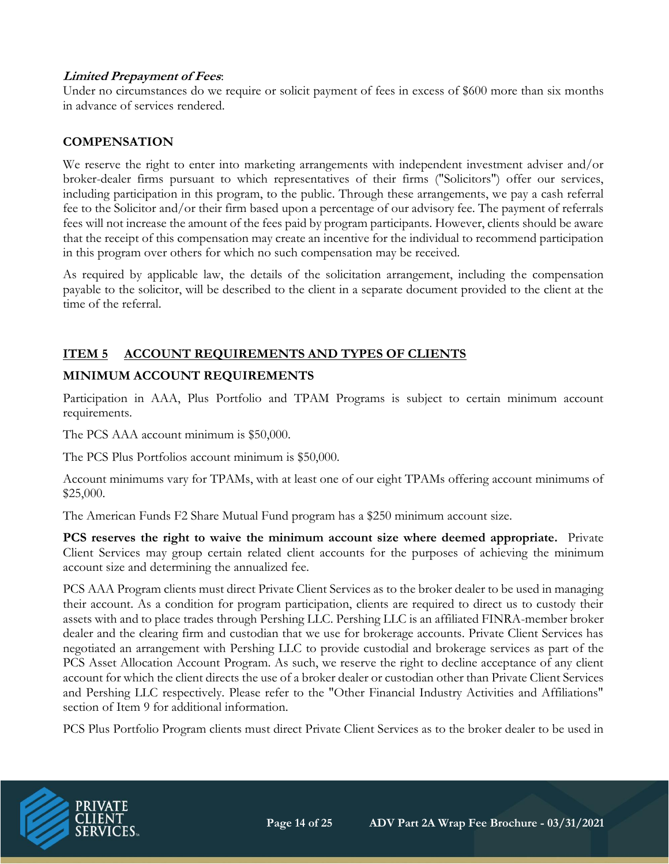#### **Limited Prepayment of Fees**:

Under no circumstances do we require or solicit payment of fees in excess of \$600 more than six months in advance of services rendered.

#### **COMPENSATION**

We reserve the right to enter into marketing arrangements with independent investment adviser and/or broker-dealer firms pursuant to which representatives of their firms ("Solicitors") offer our services, including participation in this program, to the public. Through these arrangements, we pay a cash referral fee to the Solicitor and/or their firm based upon a percentage of our advisory fee. The payment of referrals fees will not increase the amount of the fees paid by program participants. However, clients should be aware that the receipt of this compensation may create an incentive for the individual to recommend participation in this program over others for which no such compensation may be received.

As required by applicable law, the details of the solicitation arrangement, including the compensation payable to the solicitor, will be described to the client in a separate document provided to the client at the time of the referral.

# **ITEM 5 ACCOUNT REQUIREMENTS AND TYPES OF CLIENTS**

# **MINIMUM ACCOUNT REQUIREMENTS**

Participation in AAA, Plus Portfolio and TPAM Programs is subject to certain minimum account requirements.

The PCS AAA account minimum is \$50,000.

The PCS Plus Portfolios account minimum is \$50,000.

Account minimums vary for TPAMs, with at least one of our eight TPAMs offering account minimums of \$25,000.

The American Funds F2 Share Mutual Fund program has a \$250 minimum account size.

**PCS reserves the right to waive the minimum account size where deemed appropriate.** Private Client Services may group certain related client accounts for the purposes of achieving the minimum account size and determining the annualized fee.

PCS AAA Program clients must direct Private Client Services as to the broker dealer to be used in managing their account. As a condition for program participation, clients are required to direct us to custody their assets with and to place trades through Pershing LLC. Pershing LLC is an affiliated FINRA-member broker dealer and the clearing firm and custodian that we use for brokerage accounts. Private Client Services has negotiated an arrangement with Pershing LLC to provide custodial and brokerage services as part of the PCS Asset Allocation Account Program. As such, we reserve the right to decline acceptance of any client account for which the client directs the use of a broker dealer or custodian other than Private Client Services and Pershing LLC respectively. Please refer to the "Other Financial Industry Activities and Affiliations" section of Item 9 for additional information.

PCS Plus Portfolio Program clients must direct Private Client Services as to the broker dealer to be used in

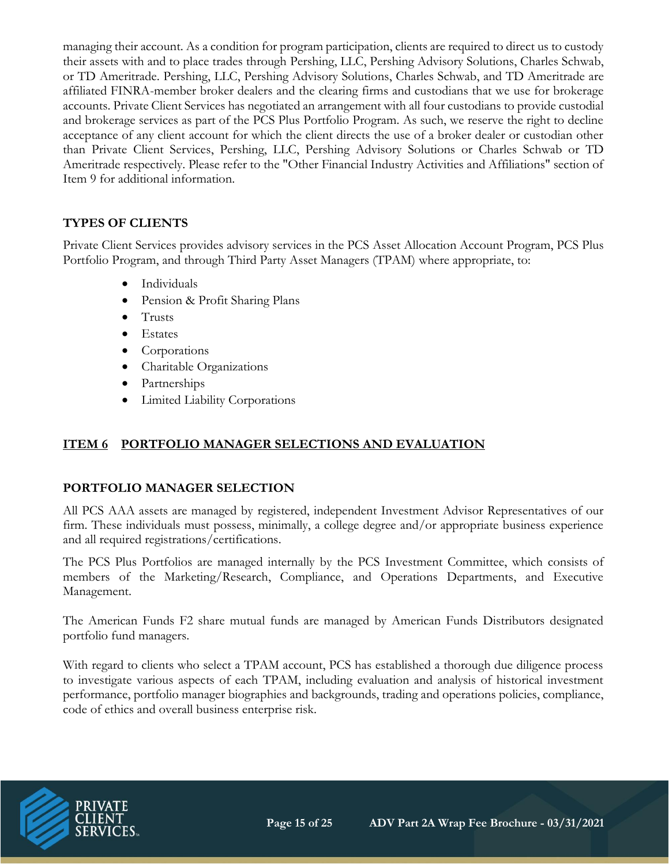managing their account. As a condition for program participation, clients are required to direct us to custody their assets with and to place trades through Pershing, LLC, Pershing Advisory Solutions, Charles Schwab, or TD Ameritrade. Pershing, LLC, Pershing Advisory Solutions, Charles Schwab, and TD Ameritrade are affiliated FINRA-member broker dealers and the clearing firms and custodians that we use for brokerage accounts. Private Client Services has negotiated an arrangement with all four custodians to provide custodial and brokerage services as part of the PCS Plus Portfolio Program. As such, we reserve the right to decline acceptance of any client account for which the client directs the use of a broker dealer or custodian other than Private Client Services, Pershing, LLC, Pershing Advisory Solutions or Charles Schwab or TD Ameritrade respectively. Please refer to the "Other Financial Industry Activities and Affiliations" section of Item 9 for additional information.

#### **TYPES OF CLIENTS**

Private Client Services provides advisory services in the PCS Asset Allocation Account Program, PCS Plus Portfolio Program, and through Third Party Asset Managers (TPAM) where appropriate, to:

- Individuals
- Pension & Profit Sharing Plans
- Trusts
- Estates
- Corporations
- Charitable Organizations
- Partnerships
- Limited Liability Corporations

#### **ITEM 6 PORTFOLIO MANAGER SELECTIONS AND EVALUATION**

#### **PORTFOLIO MANAGER SELECTION**

All PCS AAA assets are managed by registered, independent Investment Advisor Representatives of our firm. These individuals must possess, minimally, a college degree and/or appropriate business experience and all required registrations/certifications.

The PCS Plus Portfolios are managed internally by the PCS Investment Committee, which consists of members of the Marketing/Research, Compliance, and Operations Departments, and Executive Management.

The American Funds F2 share mutual funds are managed by American Funds Distributors designated portfolio fund managers.

With regard to clients who select a TPAM account, PCS has established a thorough due diligence process to investigate various aspects of each TPAM, including evaluation and analysis of historical investment performance, portfolio manager biographies and backgrounds, trading and operations policies, compliance, code of ethics and overall business enterprise risk.

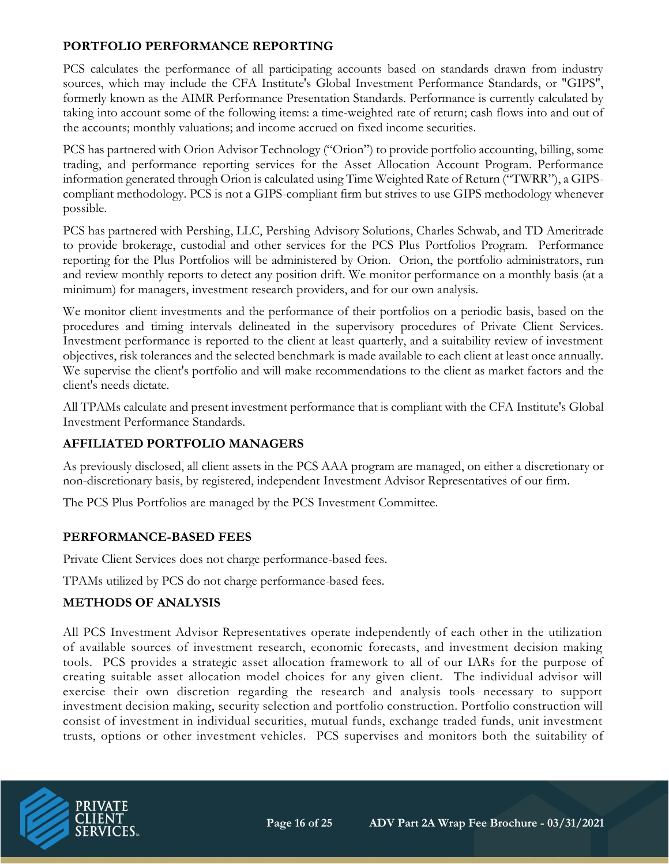### **PORTFOLIO PERFORMANCE REPORTING**

PCS calculates the performance of all participating accounts based on standards drawn from industry sources, which may include the CFA Institute's Global Investment Performance Standards, or "GIPS", formerly known as the AIMR Performance Presentation Standards. Performance is currently calculated by taking into account some of the following items: a time-weighted rate of return; cash flows into and out of the accounts; monthly valuations; and income accrued on fixed income securities.

PCS has partnered with Orion Advisor Technology ("Orion") to provide portfolio accounting, billing, some trading, and performance reporting services for the Asset Allocation Account Program. Performance information generated through Orion is calculated using Time Weighted Rate of Return ("TWRR"), a GIPScompliant methodology. PCS is not a GIPS-compliant firm but strives to use GIPS methodology whenever possible.

PCS has partnered with Pershing, LLC, Pershing Advisory Solutions, Charles Schwab, and TD Ameritrade to provide brokerage, custodial and other services for the PCS Plus Portfolios Program. Performance reporting for the Plus Portfolios will be administered by Orion. Orion, the portfolio administrators, run and review monthly reports to detect any position drift. We monitor performance on a monthly basis (at a minimum) for managers, investment research providers, and for our own analysis.

We monitor client investments and the performance of their portfolios on a periodic basis, based on the procedures and timing intervals delineated in the supervisory procedures of Private Client Services. Investment performance is reported to the client at least quarterly, and a suitability review of investment objectives, risk tolerances and the selected benchmark is made available to each client at least once annually. We supervise the client's portfolio and will make recommendations to the client as market factors and the client's needs dictate.

All TPAMs calculate and present investment performance that is compliant with the CFA Institute's Global Investment Performance Standards.

# **AFFILIATED PORTFOLIO MANAGERS**

As previously disclosed, all client assets in the PCS AAA program are managed, on either a discretionary or non-discretionary basis, by registered, independent Investment Advisor Representatives of our firm.

The PCS Plus Portfolios are managed by the PCS Investment Committee.

#### **PERFORMANCE-BASED FEES**

Private Client Services does not charge performance-based fees.

TPAMs utilized by PCS do not charge performance-based fees.

# **METHODS OF ANALYSIS**

All PCS Investment Advisor Representatives operate independently of each other in the utilization of available sources of investment research, economic forecasts, and investment decision making tools. PCS provides a strategic asset allocation framework to all of our IARs for the purpose of creating suitable asset allocation model choices for any given client. The individual advisor will exercise their own discretion regarding the research and analysis tools necessary to support investment decision making, security selection and portfolio construction. Portfolio construction will consist of investment in individual securities, mutual funds, exchange traded funds, unit investment trusts, options or other investment vehicles. PCS supervises and monitors both the suitability of

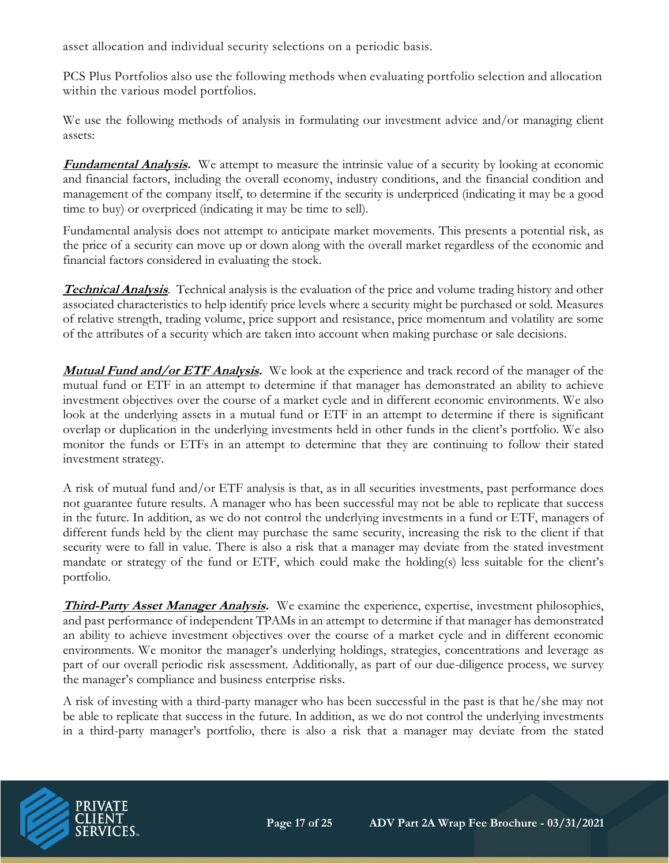asset allocation and individual security selections on a periodic basis.

PCS Plus Portfolios also use the following methods when evaluating portfolio selection and allocation within the various model portfolios.

We use the following methods of analysis in formulating our investment advice and/or managing client assets:

**Fundamental Analysis.** We attempt to measure the intrinsic value of a security by looking at economic and financial factors, including the overall economy, industry conditions, and the financial condition and management of the company itself, to determine if the security is underpriced (indicating it may be a good time to buy) or overpriced (indicating it may be time to sell).

Fundamental analysis does not attempt to anticipate market movements. This presents a potential risk, as the price of a security can move up or down along with the overall market regardless of the economic and financial factors considered in evaluating the stock.

**Technical Analysis**. Technical analysis is the evaluation of the price and volume trading history and other associated characteristics to help identify price levels where a security might be purchased or sold. Measures of relative strength, trading volume, price support and resistance, price momentum and volatility are some of the attributes of a security which are taken into account when making purchase or sale decisions.

**Mutual Fund and/or ETF Analysis.** We look at the experience and track record of the manager of the mutual fund or ETF in an attempt to determine if that manager has demonstrated an ability to achieve investment objectives over the course of a market cycle and in different economic environments. We also look at the underlying assets in a mutual fund or ETF in an attempt to determine if there is significant overlap or duplication in the underlying investments held in other funds in the client's portfolio. We also monitor the funds or ETFs in an attempt to determine that they are continuing to follow their stated investment strategy.

A risk of mutual fund and/or ETF analysis is that, as in all securities investments, past performance does not guarantee future results. A manager who has been successful may not be able to replicate that success in the future. In addition, as we do not control the underlying investments in a fund or ETF, managers of different funds held by the client may purchase the same security, increasing the risk to the client if that security were to fall in value. There is also a risk that a manager may deviate from the stated investment mandate or strategy of the fund or ETF, which could make the holding(s) less suitable for the client's portfolio.

**Third-Party Asset Manager Analysis.** We examine the experience, expertise, investment philosophies, and past performance of independent TPAMs in an attempt to determine if that manager has demonstrated an ability to achieve investment objectives over the course of a market cycle and in different economic environments. We monitor the manager's underlying holdings, strategies, concentrations and leverage as part of our overall periodic risk assessment. Additionally, as part of our due-diligence process, we survey the manager's compliance and business enterprise risks.

A risk of investing with a third-party manager who has been successful in the past is that he/she may not be able to replicate that success in the future. In addition, as we do not control the underlying investments in a third-party manager's portfolio, there is also a risk that a manager may deviate from the stated

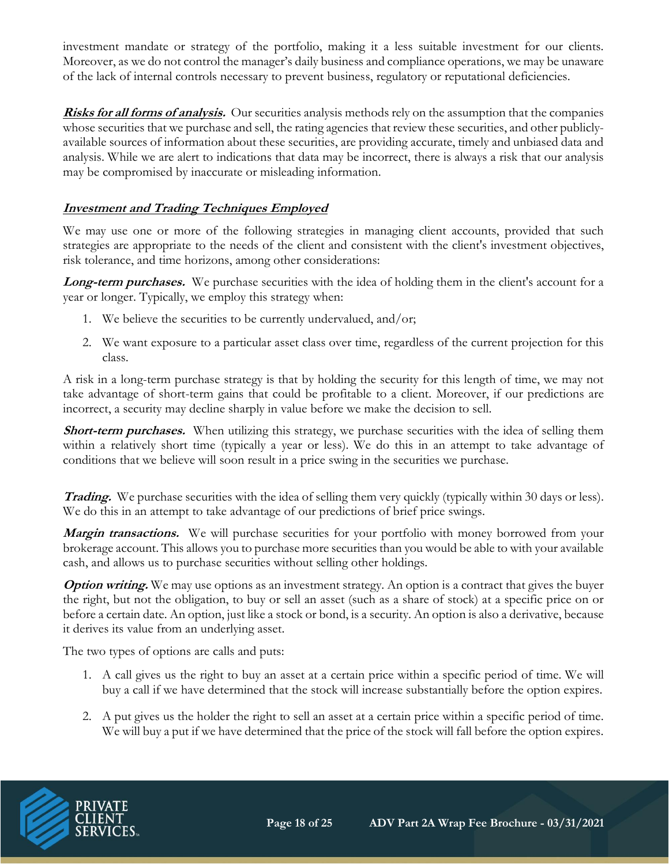investment mandate or strategy of the portfolio, making it a less suitable investment for our clients. Moreover, as we do not control the manager's daily business and compliance operations, we may be unaware of the lack of internal controls necessary to prevent business, regulatory or reputational deficiencies.

**Risks for all forms of analysis.** Our securities analysis methods rely on the assumption that the companies whose securities that we purchase and sell, the rating agencies that review these securities, and other publiclyavailable sources of information about these securities, are providing accurate, timely and unbiased data and analysis. While we are alert to indications that data may be incorrect, there is always a risk that our analysis may be compromised by inaccurate or misleading information.

# **Investment and Trading Techniques Employed**

We may use one or more of the following strategies in managing client accounts, provided that such strategies are appropriate to the needs of the client and consistent with the client's investment objectives, risk tolerance, and time horizons, among other considerations:

**Long-term purchases.** We purchase securities with the idea of holding them in the client's account for a year or longer. Typically, we employ this strategy when:

- 1. We believe the securities to be currently undervalued, and/or;
- 2. We want exposure to a particular asset class over time, regardless of the current projection for this class.

A risk in a long-term purchase strategy is that by holding the security for this length of time, we may not take advantage of short-term gains that could be profitable to a client. Moreover, if our predictions are incorrect, a security may decline sharply in value before we make the decision to sell.

**Short-term purchases.** When utilizing this strategy, we purchase securities with the idea of selling them within a relatively short time (typically a year or less). We do this in an attempt to take advantage of conditions that we believe will soon result in a price swing in the securities we purchase.

**Trading.** We purchase securities with the idea of selling them very quickly (typically within 30 days or less). We do this in an attempt to take advantage of our predictions of brief price swings.

**Margin transactions.** We will purchase securities for your portfolio with money borrowed from your brokerage account. This allows you to purchase more securities than you would be able to with your available cash, and allows us to purchase securities without selling other holdings.

**Option writing.** We may use options as an investment strategy. An option is a contract that gives the buyer the right, but not the obligation, to buy or sell an asset (such as a share of stock) at a specific price on or before a certain date. An option, just like a stock or bond, is a security. An option is also a derivative, because it derives its value from an underlying asset.

The two types of options are calls and puts:

- 1. A call gives us the right to buy an asset at a certain price within a specific period of time. We will buy a call if we have determined that the stock will increase substantially before the option expires.
- 2. A put gives us the holder the right to sell an asset at a certain price within a specific period of time. We will buy a put if we have determined that the price of the stock will fall before the option expires.

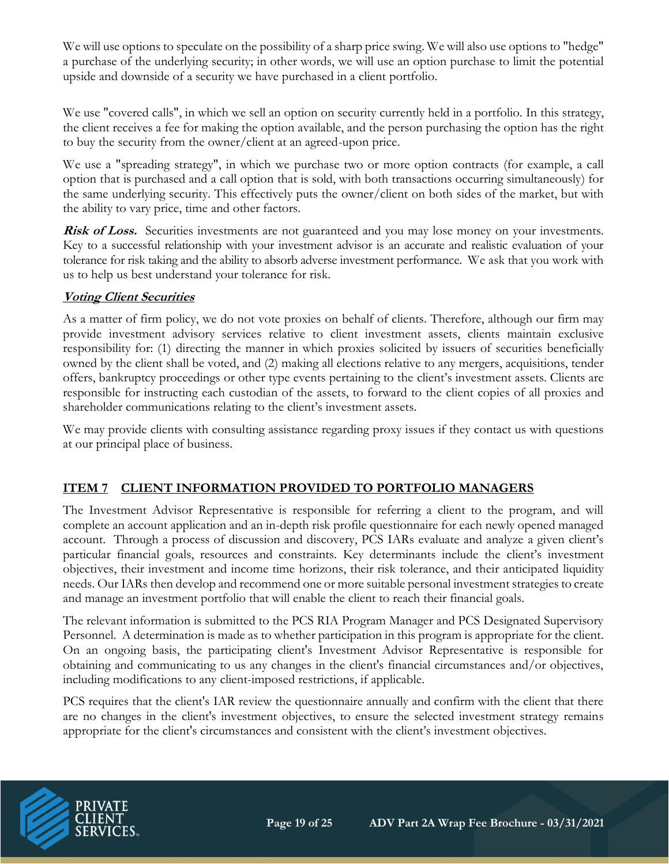We will use options to speculate on the possibility of a sharp price swing. We will also use options to "hedge" a purchase of the underlying security; in other words, we will use an option purchase to limit the potential upside and downside of a security we have purchased in a client portfolio.

We use "covered calls", in which we sell an option on security currently held in a portfolio. In this strategy, the client receives a fee for making the option available, and the person purchasing the option has the right to buy the security from the owner/client at an agreed-upon price.

We use a "spreading strategy", in which we purchase two or more option contracts (for example, a call option that is purchased and a call option that is sold, with both transactions occurring simultaneously) for the same underlying security. This effectively puts the owner/client on both sides of the market, but with the ability to vary price, time and other factors.

**Risk of Loss.** Securities investments are not guaranteed and you may lose money on your investments. Key to a successful relationship with your investment advisor is an accurate and realistic evaluation of your tolerance for risk taking and the ability to absorb adverse investment performance. We ask that you work with us to help us best understand your tolerance for risk.

# **Voting Client Securities**

As a matter of firm policy, we do not vote proxies on behalf of clients. Therefore, although our firm may provide investment advisory services relative to client investment assets, clients maintain exclusive responsibility for: (1) directing the manner in which proxies solicited by issuers of securities beneficially owned by the client shall be voted, and (2) making all elections relative to any mergers, acquisitions, tender offers, bankruptcy proceedings or other type events pertaining to the client's investment assets. Clients are responsible for instructing each custodian of the assets, to forward to the client copies of all proxies and shareholder communications relating to the client's investment assets.

We may provide clients with consulting assistance regarding proxy issues if they contact us with questions at our principal place of business.

# **ITEM 7 CLIENT INFORMATION PROVIDED TO PORTFOLIO MANAGERS**

The Investment Advisor Representative is responsible for referring a client to the program, and will complete an account application and an in-depth risk profile questionnaire for each newly opened managed account. Through a process of discussion and discovery, PCS IARs evaluate and analyze a given client's particular financial goals, resources and constraints. Key determinants include the client's investment objectives, their investment and income time horizons, their risk tolerance, and their anticipated liquidity needs. Our IARs then develop and recommend one or more suitable personal investment strategies to create and manage an investment portfolio that will enable the client to reach their financial goals.

The relevant information is submitted to the PCS RIA Program Manager and PCS Designated Supervisory Personnel. A determination is made as to whether participation in this program is appropriate for the client. On an ongoing basis, the participating client's Investment Advisor Representative is responsible for obtaining and communicating to us any changes in the client's financial circumstances and/or objectives, including modifications to any client-imposed restrictions, if applicable.

PCS requires that the client's IAR review the questionnaire annually and confirm with the client that there are no changes in the client's investment objectives, to ensure the selected investment strategy remains appropriate for the client's circumstances and consistent with the client's investment objectives.

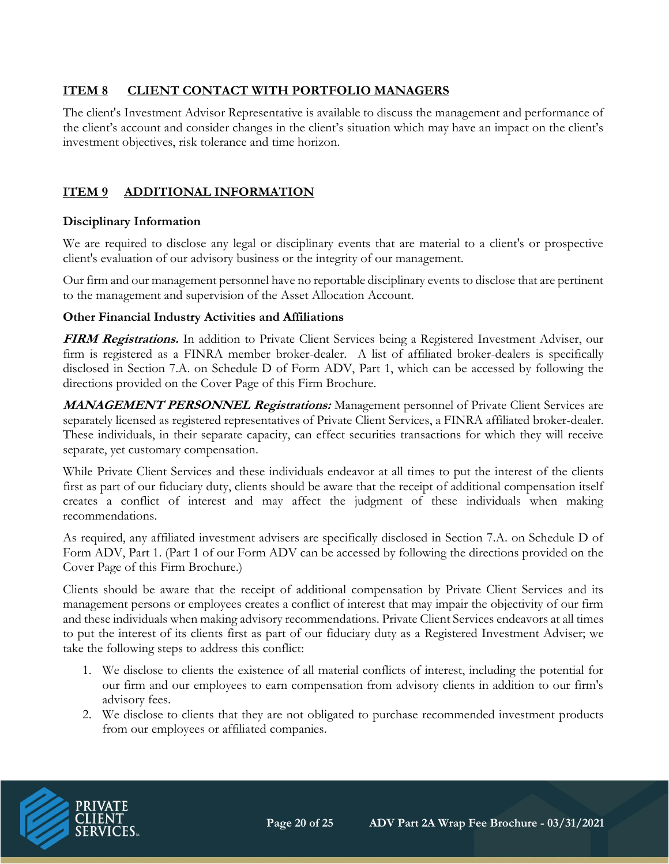# **ITEM 8 CLIENT CONTACT WITH PORTFOLIO MANAGERS**

The client's Investment Advisor Representative is available to discuss the management and performance of the client's account and consider changes in the client's situation which may have an impact on the client's investment objectives, risk tolerance and time horizon.

# **ITEM 9 ADDITIONAL INFORMATION**

#### **Disciplinary Information**

We are required to disclose any legal or disciplinary events that are material to a client's or prospective client's evaluation of our advisory business or the integrity of our management.

Our firm and our management personnel have no reportable disciplinary events to disclose that are pertinent to the management and supervision of the Asset Allocation Account.

#### **Other Financial Industry Activities and Affiliations**

**FIRM Registrations.** In addition to Private Client Services being a Registered Investment Adviser, our firm is registered as a FINRA member broker-dealer. A list of affiliated broker-dealers is specifically disclosed in Section 7.A. on Schedule D of Form ADV, Part 1, which can be accessed by following the directions provided on the Cover Page of this Firm Brochure.

**MANAGEMENT PERSONNEL Registrations:** Management personnel of Private Client Services are separately licensed as registered representatives of Private Client Services, a FINRA affiliated broker-dealer. These individuals, in their separate capacity, can effect securities transactions for which they will receive separate, yet customary compensation.

While Private Client Services and these individuals endeavor at all times to put the interest of the clients first as part of our fiduciary duty, clients should be aware that the receipt of additional compensation itself creates a conflict of interest and may affect the judgment of these individuals when making recommendations.

As required, any affiliated investment advisers are specifically disclosed in Section 7.A. on Schedule D of Form ADV, Part 1. (Part 1 of our Form ADV can be accessed by following the directions provided on the Cover Page of this Firm Brochure.)

Clients should be aware that the receipt of additional compensation by Private Client Services and its management persons or employees creates a conflict of interest that may impair the objectivity of our firm and these individuals when making advisory recommendations. Private Client Services endeavors at all times to put the interest of its clients first as part of our fiduciary duty as a Registered Investment Adviser; we take the following steps to address this conflict:

- 1. We disclose to clients the existence of all material conflicts of interest, including the potential for our firm and our employees to earn compensation from advisory clients in addition to our firm's advisory fees.
- 2. We disclose to clients that they are not obligated to purchase recommended investment products from our employees or affiliated companies.

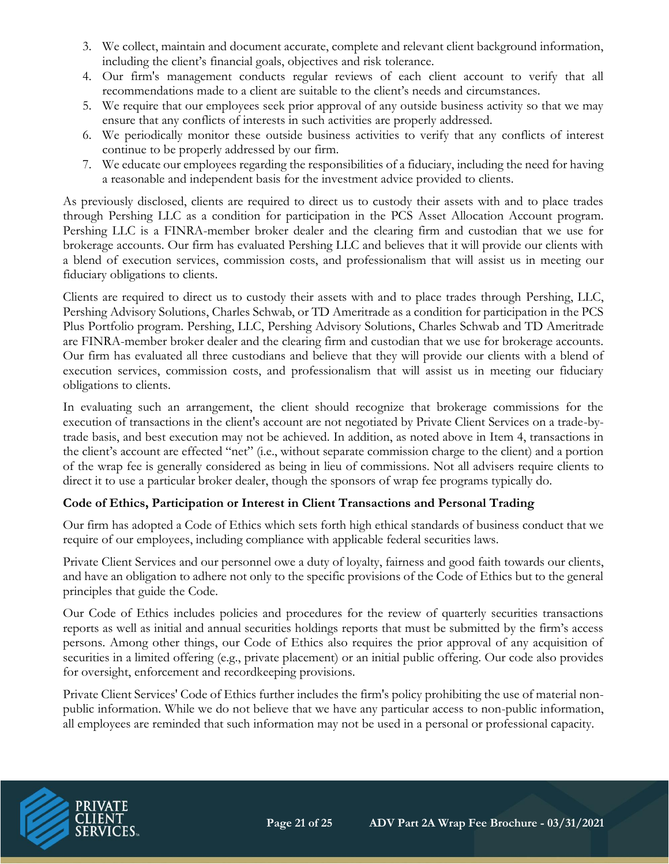- 3. We collect, maintain and document accurate, complete and relevant client background information, including the client's financial goals, objectives and risk tolerance.
- 4. Our firm's management conducts regular reviews of each client account to verify that all recommendations made to a client are suitable to the client's needs and circumstances.
- 5. We require that our employees seek prior approval of any outside business activity so that we may ensure that any conflicts of interests in such activities are properly addressed.
- 6. We periodically monitor these outside business activities to verify that any conflicts of interest continue to be properly addressed by our firm.
- 7. We educate our employees regarding the responsibilities of a fiduciary, including the need for having a reasonable and independent basis for the investment advice provided to clients.

As previously disclosed, clients are required to direct us to custody their assets with and to place trades through Pershing LLC as a condition for participation in the PCS Asset Allocation Account program. Pershing LLC is a FINRA-member broker dealer and the clearing firm and custodian that we use for brokerage accounts. Our firm has evaluated Pershing LLC and believes that it will provide our clients with a blend of execution services, commission costs, and professionalism that will assist us in meeting our fiduciary obligations to clients.

Clients are required to direct us to custody their assets with and to place trades through Pershing, LLC, Pershing Advisory Solutions, Charles Schwab, or TD Ameritrade as a condition for participation in the PCS Plus Portfolio program. Pershing, LLC, Pershing Advisory Solutions, Charles Schwab and TD Ameritrade are FINRA-member broker dealer and the clearing firm and custodian that we use for brokerage accounts. Our firm has evaluated all three custodians and believe that they will provide our clients with a blend of execution services, commission costs, and professionalism that will assist us in meeting our fiduciary obligations to clients.

In evaluating such an arrangement, the client should recognize that brokerage commissions for the execution of transactions in the client's account are not negotiated by Private Client Services on a trade-bytrade basis, and best execution may not be achieved. In addition, as noted above in Item 4, transactions in the client's account are effected "net" (i.e., without separate commission charge to the client) and a portion of the wrap fee is generally considered as being in lieu of commissions. Not all advisers require clients to direct it to use a particular broker dealer, though the sponsors of wrap fee programs typically do.

# **Code of Ethics, Participation or Interest in Client Transactions and Personal Trading**

Our firm has adopted a Code of Ethics which sets forth high ethical standards of business conduct that we require of our employees, including compliance with applicable federal securities laws.

Private Client Services and our personnel owe a duty of loyalty, fairness and good faith towards our clients, and have an obligation to adhere not only to the specific provisions of the Code of Ethics but to the general principles that guide the Code.

Our Code of Ethics includes policies and procedures for the review of quarterly securities transactions reports as well as initial and annual securities holdings reports that must be submitted by the firm's access persons. Among other things, our Code of Ethics also requires the prior approval of any acquisition of securities in a limited offering (e.g., private placement) or an initial public offering. Our code also provides for oversight, enforcement and recordkeeping provisions.

Private Client Services' Code of Ethics further includes the firm's policy prohibiting the use of material nonpublic information. While we do not believe that we have any particular access to non-public information, all employees are reminded that such information may not be used in a personal or professional capacity.

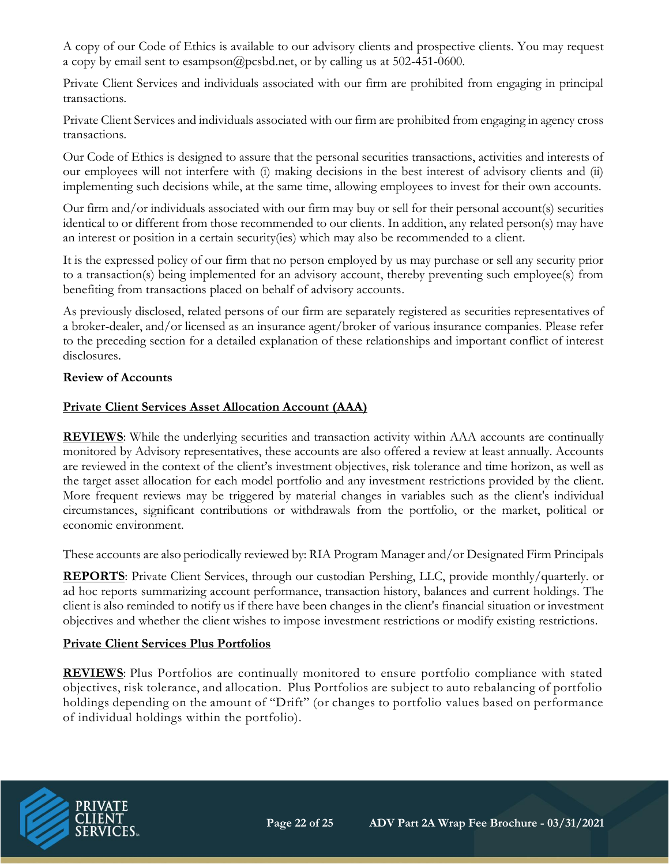A copy of our Code of Ethics is available to our advisory clients and prospective clients. You may request a copy by email sent to esampson@pcsbd.net, or by calling us at 502-451-0600.

Private Client Services and individuals associated with our firm are prohibited from engaging in principal transactions.

Private Client Services and individuals associated with our firm are prohibited from engaging in agency cross transactions.

Our Code of Ethics is designed to assure that the personal securities transactions, activities and interests of our employees will not interfere with (i) making decisions in the best interest of advisory clients and (ii) implementing such decisions while, at the same time, allowing employees to invest for their own accounts.

Our firm and/or individuals associated with our firm may buy or sell for their personal account(s) securities identical to or different from those recommended to our clients. In addition, any related person(s) may have an interest or position in a certain security(ies) which may also be recommended to a client.

It is the expressed policy of our firm that no person employed by us may purchase or sell any security prior to a transaction(s) being implemented for an advisory account, thereby preventing such employee(s) from benefiting from transactions placed on behalf of advisory accounts.

As previously disclosed, related persons of our firm are separately registered as securities representatives of a broker-dealer, and/or licensed as an insurance agent/broker of various insurance companies. Please refer to the preceding section for a detailed explanation of these relationships and important conflict of interest disclosures.

#### **Review of Accounts**

#### **Private Client Services Asset Allocation Account (AAA)**

**REVIEWS**: While the underlying securities and transaction activity within AAA accounts are continually monitored by Advisory representatives, these accounts are also offered a review at least annually. Accounts are reviewed in the context of the client's investment objectives, risk tolerance and time horizon, as well as the target asset allocation for each model portfolio and any investment restrictions provided by the client. More frequent reviews may be triggered by material changes in variables such as the client's individual circumstances, significant contributions or withdrawals from the portfolio, or the market, political or economic environment.

These accounts are also periodically reviewed by: RIA Program Manager and/or Designated Firm Principals

**REPORTS**: Private Client Services, through our custodian Pershing, LLC, provide monthly/quarterly. or ad hoc reports summarizing account performance, transaction history, balances and current holdings. The client is also reminded to notify us if there have been changes in the client's financial situation or investment objectives and whether the client wishes to impose investment restrictions or modify existing restrictions.

#### **Private Client Services Plus Portfolios**

**REVIEWS**: Plus Portfolios are continually monitored to ensure portfolio compliance with stated objectives, risk tolerance, and allocation. Plus Portfolios are subject to auto rebalancing of portfolio holdings depending on the amount of "Drift" (or changes to portfolio values based on performance of individual holdings within the portfolio).

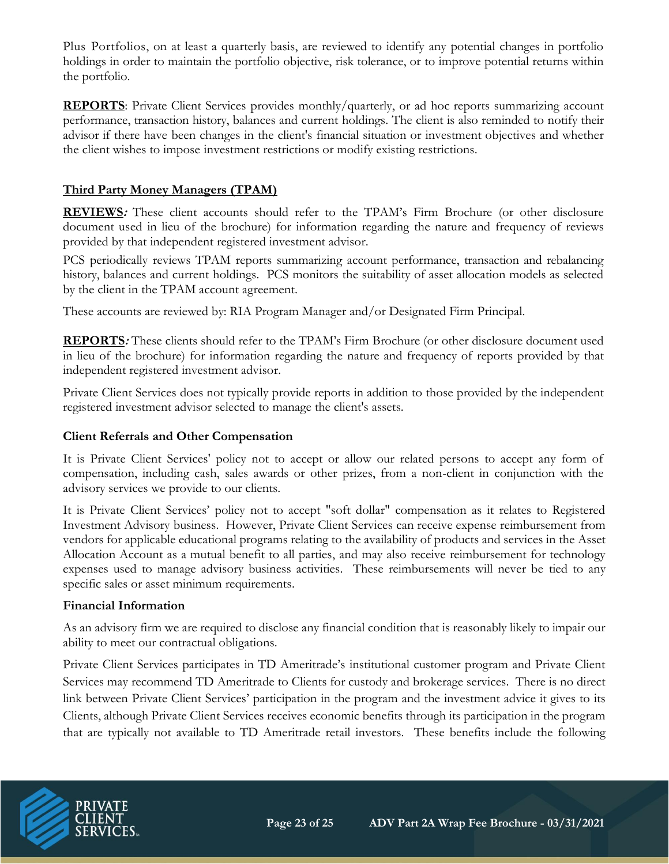Plus Portfolios, on at least a quarterly basis, are reviewed to identify any potential changes in portfolio holdings in order to maintain the portfolio objective, risk tolerance, or to improve potential returns within the portfolio.

**REPORTS:** Private Client Services provides monthly/quarterly, or ad hoc reports summarizing account performance, transaction history, balances and current holdings. The client is also reminded to notify their advisor if there have been changes in the client's financial situation or investment objectives and whether the client wishes to impose investment restrictions or modify existing restrictions.

#### **Third Party Money Managers (TPAM)**

**REVIEWS:** These client accounts should refer to the TPAM's Firm Brochure (or other disclosure document used in lieu of the brochure) for information regarding the nature and frequency of reviews provided by that independent registered investment advisor.

PCS periodically reviews TPAM reports summarizing account performance, transaction and rebalancing history, balances and current holdings. PCS monitors the suitability of asset allocation models as selected by the client in the TPAM account agreement.

These accounts are reviewed by: RIA Program Manager and/or Designated Firm Principal.

**REPORTS:** These clients should refer to the TPAM's Firm Brochure (or other disclosure document used in lieu of the brochure) for information regarding the nature and frequency of reports provided by that independent registered investment advisor.

Private Client Services does not typically provide reports in addition to those provided by the independent registered investment advisor selected to manage the client's assets.

#### **Client Referrals and Other Compensation**

It is Private Client Services' policy not to accept or allow our related persons to accept any form of compensation, including cash, sales awards or other prizes, from a non-client in conjunction with the advisory services we provide to our clients.

It is Private Client Services' policy not to accept "soft dollar" compensation as it relates to Registered Investment Advisory business. However, Private Client Services can receive expense reimbursement from vendors for applicable educational programs relating to the availability of products and services in the Asset Allocation Account as a mutual benefit to all parties, and may also receive reimbursement for technology expenses used to manage advisory business activities. These reimbursements will never be tied to any specific sales or asset minimum requirements.

#### **Financial Information**

As an advisory firm we are required to disclose any financial condition that is reasonably likely to impair our ability to meet our contractual obligations.

Private Client Services participates in TD Ameritrade's institutional customer program and Private Client Services may recommend TD Ameritrade to Clients for custody and brokerage services. There is no direct link between Private Client Services' participation in the program and the investment advice it gives to its Clients, although Private Client Services receives economic benefits through its participation in the program that are typically not available to TD Ameritrade retail investors. These benefits include the following

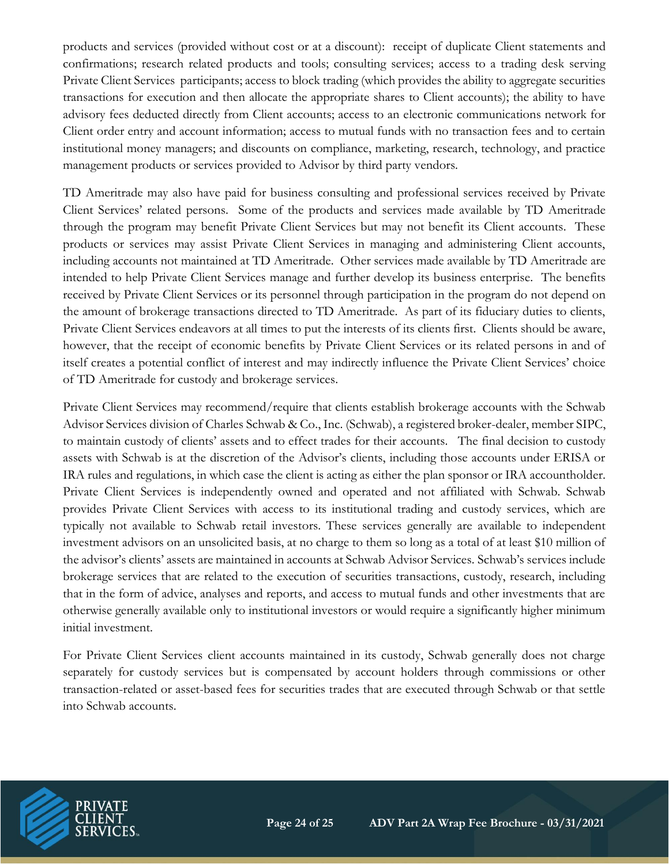products and services (provided without cost or at a discount): receipt of duplicate Client statements and confirmations; research related products and tools; consulting services; access to a trading desk serving Private Client Services participants; access to block trading (which provides the ability to aggregate securities transactions for execution and then allocate the appropriate shares to Client accounts); the ability to have advisory fees deducted directly from Client accounts; access to an electronic communications network for Client order entry and account information; access to mutual funds with no transaction fees and to certain institutional money managers; and discounts on compliance, marketing, research, technology, and practice management products or services provided to Advisor by third party vendors.

TD Ameritrade may also have paid for business consulting and professional services received by Private Client Services' related persons. Some of the products and services made available by TD Ameritrade through the program may benefit Private Client Services but may not benefit its Client accounts. These products or services may assist Private Client Services in managing and administering Client accounts, including accounts not maintained at TD Ameritrade. Other services made available by TD Ameritrade are intended to help Private Client Services manage and further develop its business enterprise. The benefits received by Private Client Services or its personnel through participation in the program do not depend on the amount of brokerage transactions directed to TD Ameritrade. As part of its fiduciary duties to clients, Private Client Services endeavors at all times to put the interests of its clients first. Clients should be aware, however, that the receipt of economic benefits by Private Client Services or its related persons in and of itself creates a potential conflict of interest and may indirectly influence the Private Client Services' choice of TD Ameritrade for custody and brokerage services.

Private Client Services may recommend/require that clients establish brokerage accounts with the Schwab Advisor Services division of Charles Schwab & Co., Inc. (Schwab), a registered broker-dealer, member SIPC, to maintain custody of clients' assets and to effect trades for their accounts. The final decision to custody assets with Schwab is at the discretion of the Advisor's clients, including those accounts under ERISA or IRA rules and regulations, in which case the client is acting as either the plan sponsor or IRA accountholder. Private Client Services is independently owned and operated and not affiliated with Schwab. Schwab provides Private Client Services with access to its institutional trading and custody services, which are typically not available to Schwab retail investors. These services generally are available to independent investment advisors on an unsolicited basis, at no charge to them so long as a total of at least \$10 million of the advisor's clients' assets are maintained in accounts at Schwab Advisor Services. Schwab's services include brokerage services that are related to the execution of securities transactions, custody, research, including that in the form of advice, analyses and reports, and access to mutual funds and other investments that are otherwise generally available only to institutional investors or would require a significantly higher minimum initial investment.

For Private Client Services client accounts maintained in its custody, Schwab generally does not charge separately for custody services but is compensated by account holders through commissions or other transaction-related or asset-based fees for securities trades that are executed through Schwab or that settle into Schwab accounts.